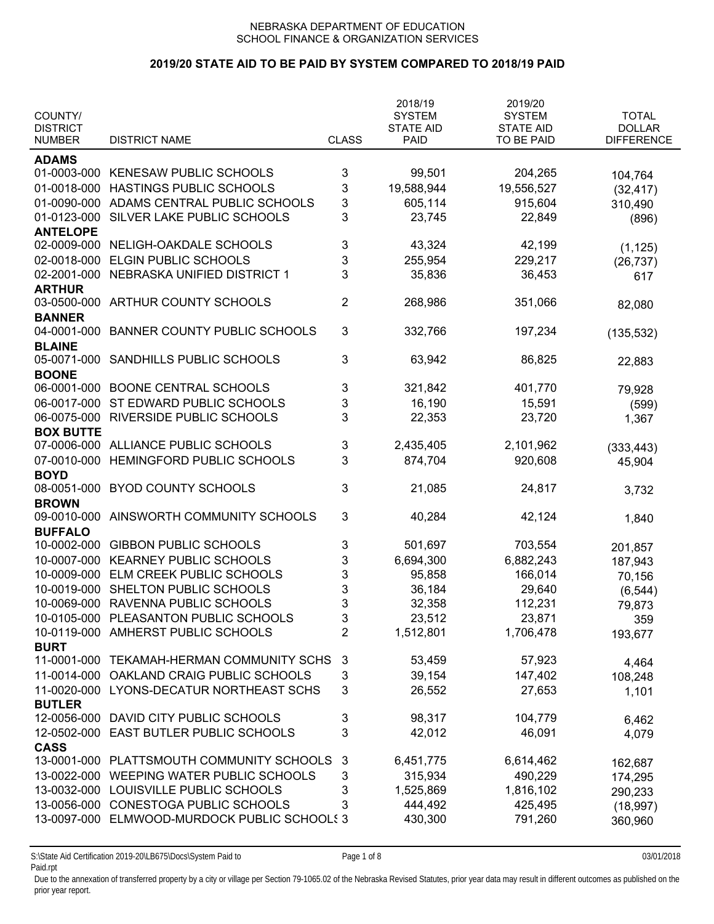## **2019/20 STATE AID TO BE PAID BY SYSTEM COMPARED TO 2018/19 PAID**

| COUNTY/<br><b>DISTRICT</b> |                                     |                | 2018/19<br><b>SYSTEM</b><br><b>STATE AID</b> | 2019/20<br><b>SYSTEM</b><br><b>STATE AID</b> | <b>TOTAL</b><br><b>DOLLAR</b> |
|----------------------------|-------------------------------------|----------------|----------------------------------------------|----------------------------------------------|-------------------------------|
| <b>NUMBER</b>              | <b>DISTRICT NAME</b>                | <b>CLASS</b>   | <b>PAID</b>                                  | TO BE PAID                                   | <b>DIFFERENCE</b>             |
| <b>ADAMS</b>               |                                     |                |                                              |                                              |                               |
| 01-0003-000                | KENESAW PUBLIC SCHOOLS              | 3              | 99,501                                       | 204,265                                      | 104,764                       |
| 01-0018-000                | HASTINGS PUBLIC SCHOOLS             | 3              | 19,588,944                                   | 19,556,527                                   | (32, 417)                     |
| 01-0090-000                | ADAMS CENTRAL PUBLIC SCHOOLS        | 3              | 605,114                                      | 915,604                                      | 310,490                       |
| 01-0123-000                | SILVER LAKE PUBLIC SCHOOLS          | 3              | 23,745                                       | 22,849                                       | (896)                         |
| <b>ANTELOPE</b>            |                                     |                |                                              |                                              |                               |
| 02-0009-000                | NELIGH-OAKDALE SCHOOLS              | 3              | 43,324                                       | 42,199                                       | (1, 125)                      |
| 02-0018-000                | ELGIN PUBLIC SCHOOLS                | 3              | 255,954                                      | 229,217                                      | (26, 737)                     |
| 02-2001-000                | NEBRASKA UNIFIED DISTRICT 1         | 3              | 35,836                                       | 36,453                                       | 617                           |
| <b>ARTHUR</b>              |                                     |                |                                              |                                              |                               |
| 03-0500-000                | ARTHUR COUNTY SCHOOLS               | 2              | 268,986                                      | 351,066                                      | 82,080                        |
| <b>BANNER</b>              |                                     |                |                                              |                                              |                               |
| 04-0001-000                | <b>BANNER COUNTY PUBLIC SCHOOLS</b> | 3              | 332,766                                      | 197,234                                      | (135, 532)                    |
| <b>BLAINE</b>              |                                     |                |                                              |                                              |                               |
| 05-0071-000                | SANDHILLS PUBLIC SCHOOLS            | 3              | 63,942                                       | 86,825                                       | 22,883                        |
| <b>BOONE</b>               |                                     |                |                                              |                                              |                               |
| 06-0001-000                | <b>BOONE CENTRAL SCHOOLS</b>        | 3              | 321,842                                      | 401,770                                      | 79,928                        |
| 06-0017-000                | ST EDWARD PUBLIC SCHOOLS            | 3              | 16,190                                       | 15,591                                       | (599)                         |
| 06-0075-000                | RIVERSIDE PUBLIC SCHOOLS            | 3              | 22,353                                       | 23,720                                       | 1,367                         |
| <b>BOX BUTTE</b>           |                                     |                |                                              |                                              |                               |
| 07-0006-000                | ALLIANCE PUBLIC SCHOOLS             | 3              | 2,435,405                                    | 2,101,962                                    | (333, 443)                    |
| 07-0010-000                | HEMINGFORD PUBLIC SCHOOLS           | 3              | 874,704                                      | 920,608                                      | 45,904                        |
| <b>BOYD</b>                |                                     |                |                                              |                                              |                               |
| 08-0051-000                | <b>BYOD COUNTY SCHOOLS</b>          | 3              | 21,085                                       | 24,817                                       | 3,732                         |
| <b>BROWN</b>               |                                     |                |                                              |                                              |                               |
| 09-0010-000                | AINSWORTH COMMUNITY SCHOOLS         | 3              | 40,284                                       | 42,124                                       | 1,840                         |
| <b>BUFFALO</b>             |                                     |                |                                              |                                              |                               |
| 10-0002-000                | <b>GIBBON PUBLIC SCHOOLS</b>        | 3              | 501,697                                      | 703,554                                      | 201,857                       |
| 10-0007-000                | <b>KEARNEY PUBLIC SCHOOLS</b>       | 3              | 6,694,300                                    | 6,882,243                                    | 187,943                       |
| 10-0009-000                | ELM CREEK PUBLIC SCHOOLS            | 3              | 95,858                                       | 166,014                                      | 70,156                        |
| 10-0019-000                | SHELTON PUBLIC SCHOOLS              | 3              | 36,184                                       | 29,640                                       | (6, 544)                      |
| 10-0069-000                | RAVENNA PUBLIC SCHOOLS              | 3              | 32,358                                       | 112,231                                      | 79,873                        |
| 10-0105-000                | PLEASANTON PUBLIC SCHOOLS           | 3              | 23,512                                       | 23,871                                       | 359                           |
| 10-0119-000                | AMHERST PUBLIC SCHOOLS              | $\overline{2}$ | 1,512,801                                    | 1,706,478                                    | 193,677                       |
| <b>BURT</b>                |                                     |                |                                              |                                              |                               |
| 11-0001-000                | TEKAMAH-HERMAN COMMUNITY SCHS       | 3              | 53,459                                       | 57,923                                       | 4,464                         |
| 11-0014-000                | OAKLAND CRAIG PUBLIC SCHOOLS        | 3              | 39,154                                       | 147,402                                      | 108,248                       |
| 11-0020-000                | LYONS-DECATUR NORTHEAST SCHS        | 3              | 26,552                                       | 27,653                                       | 1,101                         |
| <b>BUTLER</b>              |                                     |                |                                              |                                              |                               |
| 12-0056-000                | DAVID CITY PUBLIC SCHOOLS           | 3              | 98,317                                       | 104,779                                      | 6,462                         |
| 12-0502-000                | EAST BUTLER PUBLIC SCHOOLS          | 3              | 42,012                                       | 46,091                                       | 4,079                         |
| <b>CASS</b>                |                                     |                |                                              |                                              |                               |
| 13-0001-000                | PLATTSMOUTH COMMUNITY SCHOOLS       | 3              | 6,451,775                                    | 6,614,462                                    | 162,687                       |
| 13-0022-000                | WEEPING WATER PUBLIC SCHOOLS        | 3              | 315,934                                      | 490,229                                      | 174,295                       |
| 13-0032-000                | LOUISVILLE PUBLIC SCHOOLS           | 3              | 1,525,869                                    | 1,816,102                                    | 290,233                       |
| 13-0056-000                | <b>CONESTOGA PUBLIC SCHOOLS</b>     | 3              | 444,492                                      | 425,495                                      | (18, 997)                     |
| 13-0097-000                | ELMWOOD-MURDOCK PUBLIC SCHOOLS 3    |                | 430,300                                      | 791,260                                      | 360,960                       |
|                            |                                     |                |                                              |                                              |                               |

S:\State Aid Certification 2019-20\LB675\Docs\System Paid to Page 1 of 8 03/01/2018 Paid.rpt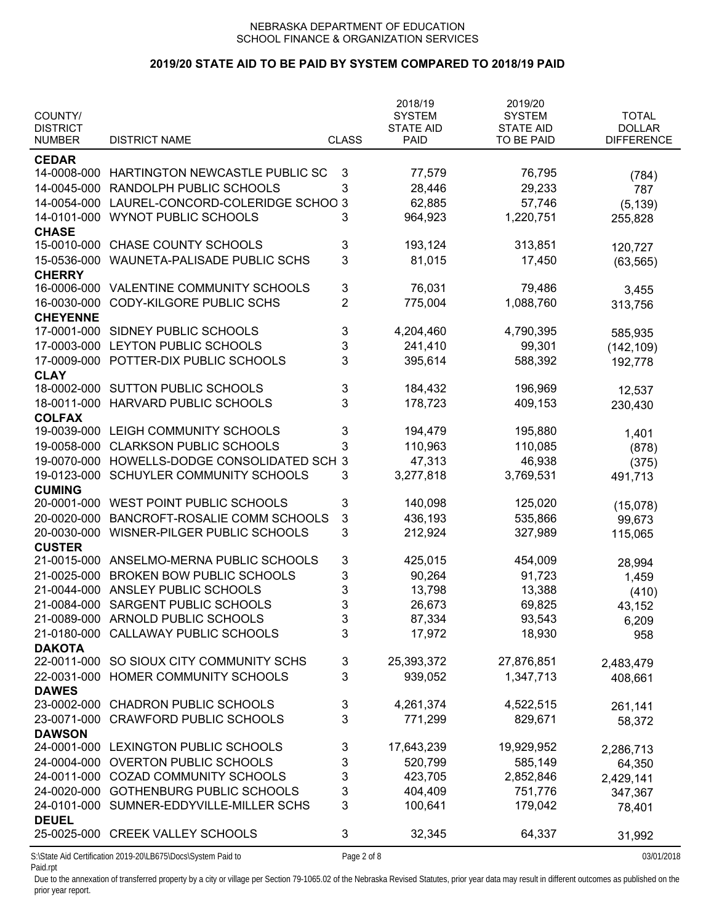# **2019/20 STATE AID TO BE PAID BY SYSTEM COMPARED TO 2018/19 PAID**

| COUNTY/<br><b>DISTRICT</b> |                                                              |                | 2018/19<br><b>SYSTEM</b><br><b>STATE AID</b> | 2019/20<br><b>SYSTEM</b><br><b>STATE AID</b> | <b>TOTAL</b><br><b>DOLLAR</b> |
|----------------------------|--------------------------------------------------------------|----------------|----------------------------------------------|----------------------------------------------|-------------------------------|
| <b>NUMBER</b>              | <b>DISTRICT NAME</b>                                         | <b>CLASS</b>   | <b>PAID</b>                                  | TO BE PAID                                   | <b>DIFFERENCE</b>             |
| <b>CEDAR</b>               |                                                              |                |                                              |                                              |                               |
|                            | 14-0008-000 HARTINGTON NEWCASTLE PUBLIC SC                   | 3              | 77,579                                       | 76,795                                       | (784)                         |
| 14-0045-000                | RANDOLPH PUBLIC SCHOOLS                                      | 3              | 28,446                                       | 29,233                                       | 787                           |
| 14-0054-000                | LAUREL-CONCORD-COLERIDGE SCHOO 3                             |                | 62,885                                       | 57,746                                       | (5, 139)                      |
| 14-0101-000                | <b>WYNOT PUBLIC SCHOOLS</b>                                  | 3              | 964,923                                      | 1,220,751                                    | 255,828                       |
| <b>CHASE</b>               |                                                              |                |                                              |                                              |                               |
| 15-0010-000                | <b>CHASE COUNTY SCHOOLS</b>                                  | 3              | 193,124                                      | 313,851                                      | 120,727                       |
| 15-0536-000                | <b>WAUNETA-PALISADE PUBLIC SCHS</b>                          | 3              | 81,015                                       | 17,450                                       | (63, 565)                     |
| <b>CHERRY</b>              |                                                              |                |                                              |                                              |                               |
| 16-0006-000                | VALENTINE COMMUNITY SCHOOLS                                  | 3              | 76,031                                       | 79,486                                       | 3,455                         |
| 16-0030-000                | CODY-KILGORE PUBLIC SCHS                                     | $\overline{2}$ | 775,004                                      | 1,088,760                                    | 313,756                       |
| <b>CHEYENNE</b>            |                                                              |                |                                              |                                              |                               |
| 17-0001-000                | SIDNEY PUBLIC SCHOOLS                                        | 3              | 4,204,460                                    | 4,790,395                                    | 585,935                       |
| 17-0003-000                | LEYTON PUBLIC SCHOOLS                                        | 3              | 241,410                                      | 99,301                                       | (142, 109)                    |
| 17-0009-000                | POTTER-DIX PUBLIC SCHOOLS                                    | 3              | 395,614                                      | 588,392                                      | 192,778                       |
| <b>CLAY</b>                |                                                              |                |                                              |                                              |                               |
| 18-0002-000                | <b>SUTTON PUBLIC SCHOOLS</b>                                 | 3              | 184,432                                      | 196,969                                      | 12,537                        |
| 18-0011-000                | HARVARD PUBLIC SCHOOLS                                       | 3              | 178,723                                      | 409,153                                      | 230,430                       |
| <b>COLFAX</b>              |                                                              |                |                                              |                                              |                               |
| 19-0039-000                | LEIGH COMMUNITY SCHOOLS                                      | 3              | 194,479                                      | 195,880                                      | 1,401                         |
| 19-0058-000                | <b>CLARKSON PUBLIC SCHOOLS</b>                               | 3              | 110,963                                      | 110,085                                      | (878)                         |
| 19-0070-000                | HOWELLS-DODGE CONSOLIDATED SCH 3                             |                | 47,313                                       | 46,938                                       | (375)                         |
| 19-0123-000                | SCHUYLER COMMUNITY SCHOOLS                                   | 3              | 3,277,818                                    | 3,769,531                                    | 491,713                       |
| <b>CUMING</b>              |                                                              |                |                                              |                                              |                               |
| 20-0001-000                | WEST POINT PUBLIC SCHOOLS                                    | 3              | 140,098                                      | 125,020                                      | (15,078)                      |
| 20-0020-000                | BANCROFT-ROSALIE COMM SCHOOLS                                | 3              | 436,193                                      | 535,866                                      | 99,673                        |
| 20-0030-000                | WISNER-PILGER PUBLIC SCHOOLS                                 | 3              | 212,924                                      | 327,989                                      | 115,065                       |
| <b>CUSTER</b>              |                                                              |                |                                              |                                              |                               |
| 21-0015-000                | ANSELMO-MERNA PUBLIC SCHOOLS                                 | 3              | 425,015                                      | 454,009                                      | 28,994                        |
| 21-0025-000                | <b>BROKEN BOW PUBLIC SCHOOLS</b>                             | 3              | 90,264                                       | 91,723                                       | 1,459                         |
| 21-0044-000                | ANSLEY PUBLIC SCHOOLS                                        | 3              | 13,798                                       | 13,388                                       | (410)                         |
| 21-0084-000                | SARGENT PUBLIC SCHOOLS                                       | 3              | 26,673                                       | 69,825                                       | 43,152                        |
| 21-0089-000                | ARNOLD PUBLIC SCHOOLS                                        | 3              | 87,334                                       | 93,543                                       | 6,209                         |
| 21-0180-000                | <b>CALLAWAY PUBLIC SCHOOLS</b>                               | 3              | 17,972                                       | 18,930                                       | 958                           |
| <b>DAKOTA</b>              |                                                              |                |                                              |                                              |                               |
| 22-0011-000                | SO SIOUX CITY COMMUNITY SCHS                                 | 3              | 25,393,372                                   | 27,876,851                                   | 2,483,479                     |
| 22-0031-000                | HOMER COMMUNITY SCHOOLS                                      | 3              | 939,052                                      | 1,347,713                                    | 408,661                       |
| <b>DAWES</b>               |                                                              |                |                                              |                                              |                               |
| 23-0002-000                | <b>CHADRON PUBLIC SCHOOLS</b>                                | 3              | 4,261,374                                    | 4,522,515                                    | 261,141                       |
| 23-0071-000                | <b>CRAWFORD PUBLIC SCHOOLS</b>                               | 3              | 771,299                                      | 829,671                                      | 58,372                        |
| <b>DAWSON</b>              |                                                              |                |                                              |                                              |                               |
|                            | 24-0001-000 LEXINGTON PUBLIC SCHOOLS                         | 3              | 17,643,239                                   | 19,929,952                                   | 2,286,713                     |
|                            | 24-0004-000 OVERTON PUBLIC SCHOOLS                           | 3              | 520,799                                      | 585,149                                      | 64,350                        |
|                            | 24-0011-000 COZAD COMMUNITY SCHOOLS                          | 3              | 423,705                                      | 2,852,846                                    | 2,429,141                     |
|                            | 24-0020-000 GOTHENBURG PUBLIC SCHOOLS                        | 3              | 404,409                                      | 751,776                                      | 347,367                       |
|                            | 24-0101-000 SUMNER-EDDYVILLE-MILLER SCHS                     | 3              | 100,641                                      | 179,042                                      | 78,401                        |
| <b>DEUEL</b>               |                                                              |                |                                              |                                              |                               |
|                            | 25-0025-000 CREEK VALLEY SCHOOLS                             | 3              | 32,345                                       | 64,337                                       | 31,992                        |
|                            | S:\State Aid Certification 2019-20\LB675\Docs\System Paid to | Page 2 of 8    |                                              |                                              | 03/01/2018                    |

Paid.rpt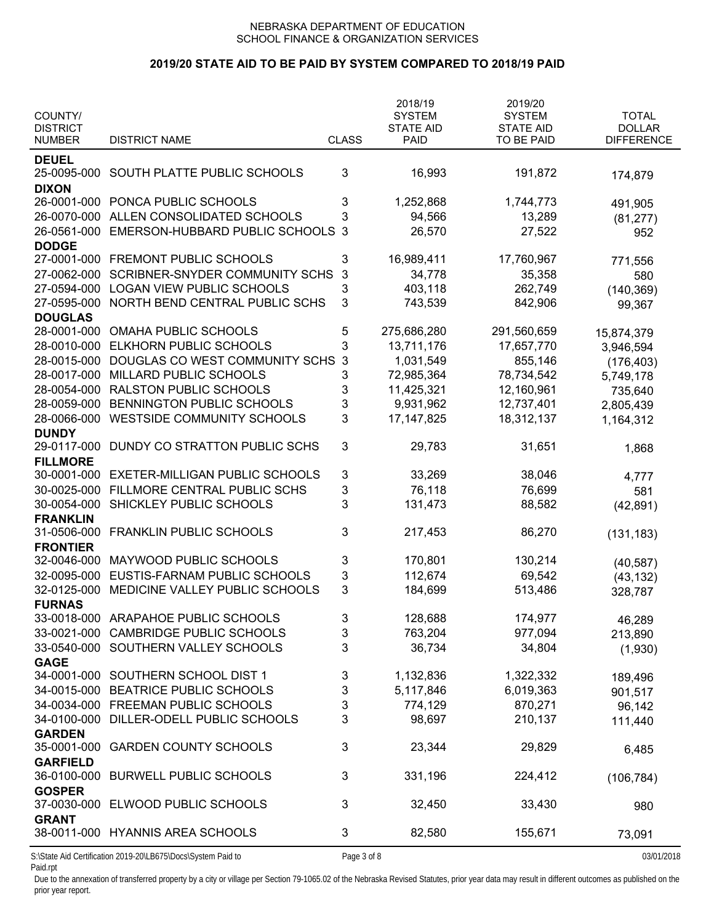### **2019/20 STATE AID TO BE PAID BY SYSTEM COMPARED TO 2018/19 PAID**

| COUNTY/<br><b>DISTRICT</b>     |                                                              |              | 2018/19<br><b>SYSTEM</b><br><b>STATE AID</b> | 2019/20<br><b>SYSTEM</b><br><b>STATE AID</b> | <b>TOTAL</b><br><b>DOLLAR</b> |
|--------------------------------|--------------------------------------------------------------|--------------|----------------------------------------------|----------------------------------------------|-------------------------------|
| <b>NUMBER</b>                  | <b>DISTRICT NAME</b>                                         | <b>CLASS</b> | <b>PAID</b>                                  | TO BE PAID                                   | <b>DIFFERENCE</b>             |
| <b>DEUEL</b><br><b>DIXON</b>   | 25-0095-000 SOUTH PLATTE PUBLIC SCHOOLS                      | 3            | 16,993                                       | 191,872                                      | 174,879                       |
|                                | 26-0001-000 PONCA PUBLIC SCHOOLS                             | 3            | 1,252,868                                    | 1,744,773                                    | 491,905                       |
| 26-0070-000                    | ALLEN CONSOLIDATED SCHOOLS                                   | 3            | 94,566                                       | 13,289                                       | (81, 277)                     |
| 26-0561-000                    | EMERSON-HUBBARD PUBLIC SCHOOLS                               | 3            | 26,570                                       | 27,522                                       | 952                           |
| <b>DODGE</b>                   |                                                              |              |                                              |                                              |                               |
| 27-0001-000                    | FREMONT PUBLIC SCHOOLS                                       | 3            | 16,989,411                                   | 17,760,967                                   | 771,556                       |
| 27-0062-000                    | <b>SCRIBNER-SNYDER COMMUNITY SCHS</b>                        | 3            | 34,778                                       | 35,358                                       | 580                           |
| 27-0594-000                    | <b>LOGAN VIEW PUBLIC SCHOOLS</b>                             | 3            | 403,118                                      | 262,749                                      | (140, 369)                    |
| 27-0595-000                    | NORTH BEND CENTRAL PUBLIC SCHS                               | 3            | 743,539                                      | 842,906                                      | 99,367                        |
| <b>DOUGLAS</b>                 |                                                              |              |                                              |                                              |                               |
| 28-0001-000                    | <b>OMAHA PUBLIC SCHOOLS</b>                                  | 5            | 275,686,280                                  | 291,560,659                                  | 15,874,379                    |
| 28-0010-000                    | ELKHORN PUBLIC SCHOOLS                                       | 3            | 13,711,176                                   | 17,657,770                                   | 3,946,594                     |
| 28-0015-000                    | DOUGLAS CO WEST COMMUNITY SCHS                               | 3            | 1,031,549                                    | 855,146                                      | (176, 403)                    |
| 28-0017-000                    | MILLARD PUBLIC SCHOOLS                                       | 3            | 72,985,364                                   | 78,734,542                                   | 5,749,178                     |
| 28-0054-000                    | <b>RALSTON PUBLIC SCHOOLS</b>                                | 3            | 11,425,321                                   | 12,160,961                                   | 735,640                       |
| 28-0059-000                    | BENNINGTON PUBLIC SCHOOLS                                    | 3            | 9,931,962                                    | 12,737,401                                   | 2,805,439                     |
| 28-0066-000                    | WESTSIDE COMMUNITY SCHOOLS                                   | 3            | 17, 147, 825                                 | 18,312,137                                   | 1,164,312                     |
| <b>DUNDY</b><br>29-0117-000    | DUNDY CO STRATTON PUBLIC SCHS                                | 3            | 29,783                                       | 31,651                                       | 1,868                         |
| <b>FILLMORE</b><br>30-0001-000 | <b>EXETER-MILLIGAN PUBLIC SCHOOLS</b>                        | 3            | 33,269                                       | 38,046                                       |                               |
| 30-0025-000                    | FILLMORE CENTRAL PUBLIC SCHS                                 | 3            | 76,118                                       | 76,699                                       | 4,777<br>581                  |
| 30-0054-000                    | SHICKLEY PUBLIC SCHOOLS                                      | 3            | 131,473                                      | 88,582                                       | (42, 891)                     |
| <b>FRANKLIN</b>                |                                                              |              |                                              |                                              |                               |
| 31-0506-000                    | <b>FRANKLIN PUBLIC SCHOOLS</b>                               | 3            | 217,453                                      | 86,270                                       | (131, 183)                    |
| <b>FRONTIER</b>                |                                                              |              |                                              |                                              |                               |
| 32-0046-000                    | MAYWOOD PUBLIC SCHOOLS                                       | 3            | 170,801                                      | 130,214                                      | (40, 587)                     |
| 32-0095-000                    | EUSTIS-FARNAM PUBLIC SCHOOLS                                 | 3            | 112,674                                      | 69,542                                       | (43, 132)                     |
| 32-0125-000                    | MEDICINE VALLEY PUBLIC SCHOOLS                               | 3            | 184,699                                      | 513,486                                      | 328,787                       |
| <b>FURNAS</b>                  |                                                              |              |                                              |                                              |                               |
|                                | 33-0018-000 ARAPAHOE PUBLIC SCHOOLS                          | 3            | 128,688                                      | 174,977                                      | 46,289                        |
|                                | 33-0021-000 CAMBRIDGE PUBLIC SCHOOLS                         | 3            | 763,204                                      | 977,094                                      | 213,890                       |
|                                | 33-0540-000 SOUTHERN VALLEY SCHOOLS                          | 3            | 36,734                                       | 34,804                                       | (1,930)                       |
| <b>GAGE</b>                    |                                                              |              |                                              |                                              |                               |
|                                | 34-0001-000 SOUTHERN SCHOOL DIST 1                           | 3            | 1,132,836                                    | 1,322,332                                    | 189,496                       |
|                                | 34-0015-000 BEATRICE PUBLIC SCHOOLS                          | 3            | 5,117,846                                    | 6,019,363                                    | 901,517                       |
|                                | 34-0034-000 FREEMAN PUBLIC SCHOOLS                           | 3            | 774,129                                      | 870,271                                      | 96,142                        |
|                                | 34-0100-000 DILLER-ODELL PUBLIC SCHOOLS                      | 3            | 98,697                                       | 210,137                                      | 111,440                       |
| <b>GARDEN</b><br>35-0001-000   | <b>GARDEN COUNTY SCHOOLS</b>                                 | 3            | 23,344                                       | 29,829                                       | 6,485                         |
| <b>GARFIELD</b>                |                                                              |              |                                              |                                              |                               |
|                                | 36-0100-000 BURWELL PUBLIC SCHOOLS                           | 3            | 331,196                                      | 224,412                                      | (106, 784)                    |
| <b>GOSPER</b>                  | 37-0030-000 ELWOOD PUBLIC SCHOOLS                            | 3            | 32,450                                       | 33,430                                       | 980                           |
| <b>GRANT</b>                   | 38-0011-000 HYANNIS AREA SCHOOLS                             | 3            | 82,580                                       | 155,671                                      | 73,091                        |
|                                | S:\State Aid Certification 2019-20\LB675\Docs\System Paid to | Page 3 of 8  |                                              |                                              | 03/01/2018                    |

Paid.rpt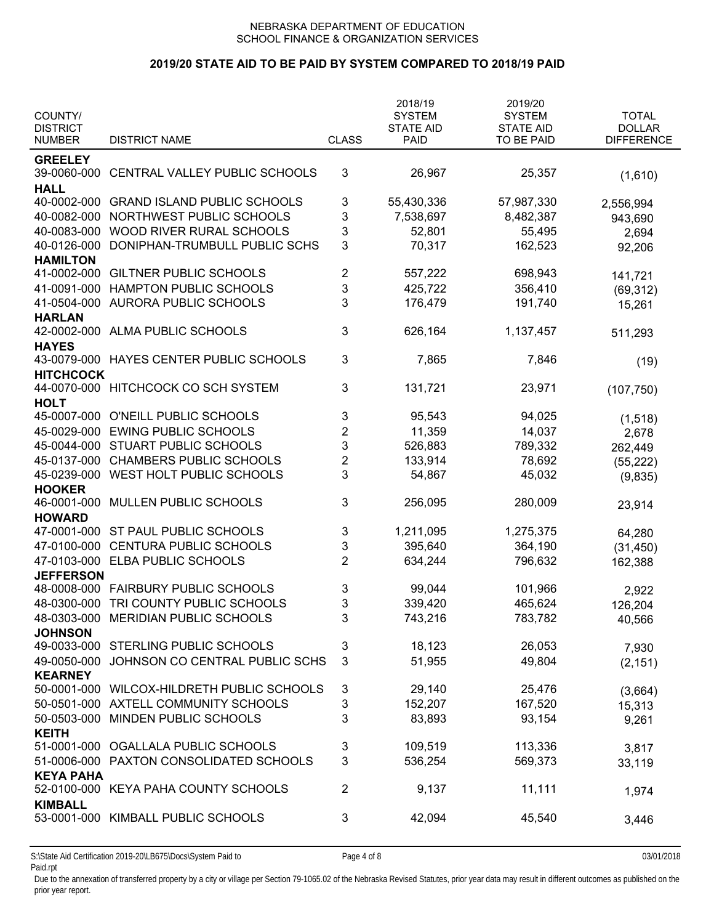# **2019/20 STATE AID TO BE PAID BY SYSTEM COMPARED TO 2018/19 PAID**

| COUNTY/                          |                                            |                         | 2018/19<br><b>SYSTEM</b>        | 2019/20<br><b>SYSTEM</b>       | <b>TOTAL</b><br><b>DOLLAR</b> |
|----------------------------------|--------------------------------------------|-------------------------|---------------------------------|--------------------------------|-------------------------------|
| <b>DISTRICT</b><br><b>NUMBER</b> | <b>DISTRICT NAME</b>                       | <b>CLASS</b>            | <b>STATE AID</b><br><b>PAID</b> | <b>STATE AID</b><br>TO BE PAID | <b>DIFFERENCE</b>             |
| <b>GREELEY</b>                   |                                            |                         |                                 |                                |                               |
|                                  | 39-0060-000 CENTRAL VALLEY PUBLIC SCHOOLS  | 3                       | 26,967                          | 25,357                         | (1,610)                       |
| <b>HALL</b>                      |                                            |                         |                                 |                                |                               |
| 40-0002-000                      | <b>GRAND ISLAND PUBLIC SCHOOLS</b>         | 3                       | 55,430,336                      | 57,987,330                     | 2,556,994                     |
| 40-0082-000                      | NORTHWEST PUBLIC SCHOOLS                   | 3                       | 7,538,697                       | 8,482,387                      | 943,690                       |
| 40-0083-000                      | WOOD RIVER RURAL SCHOOLS                   | 3                       | 52,801                          | 55,495                         | 2,694                         |
| 40-0126-000                      | DONIPHAN-TRUMBULL PUBLIC SCHS              | 3                       | 70,317                          | 162,523                        | 92,206                        |
| <b>HAMILTON</b><br>41-0002-000   | <b>GILTNER PUBLIC SCHOOLS</b>              | 2                       | 557,222                         | 698,943                        |                               |
| 41-0091-000                      | HAMPTON PUBLIC SCHOOLS                     | 3                       | 425,722                         | 356,410                        | 141,721                       |
|                                  |                                            | 3                       |                                 |                                | (69, 312)                     |
| 41-0504-000<br><b>HARLAN</b>     | AURORA PUBLIC SCHOOLS                      |                         | 176,479                         | 191,740                        | 15,261                        |
| 42-0002-000                      | ALMA PUBLIC SCHOOLS                        | 3                       | 626,164                         | 1,137,457                      |                               |
| <b>HAYES</b>                     |                                            |                         |                                 |                                | 511,293                       |
|                                  | 43-0079-000 HAYES CENTER PUBLIC SCHOOLS    | 3                       | 7,865                           | 7,846                          |                               |
| <b>HITCHCOCK</b>                 |                                            |                         |                                 |                                | (19)                          |
|                                  | 44-0070-000 HITCHCOCK CO SCH SYSTEM        | 3                       | 131,721                         | 23,971                         | (107, 750)                    |
| <b>HOLT</b>                      |                                            |                         |                                 |                                |                               |
| 45-0007-000                      | O'NEILL PUBLIC SCHOOLS                     | 3                       | 95,543                          | 94,025                         | (1, 518)                      |
|                                  | 45-0029-000 EWING PUBLIC SCHOOLS           | $\overline{c}$          | 11,359                          | 14,037                         | 2,678                         |
| 45-0044-000                      | <b>STUART PUBLIC SCHOOLS</b>               | 3                       | 526,883                         | 789,332                        | 262,449                       |
| 45-0137-000                      | <b>CHAMBERS PUBLIC SCHOOLS</b>             | $\overline{\mathbf{c}}$ | 133,914                         | 78,692                         | (55, 222)                     |
| 45-0239-000                      | WEST HOLT PUBLIC SCHOOLS                   | 3                       | 54,867                          | 45,032                         | (9,835)                       |
| <b>HOOKER</b>                    |                                            |                         |                                 |                                |                               |
| 46-0001-000                      | MULLEN PUBLIC SCHOOLS                      | 3                       | 256,095                         | 280,009                        | 23,914                        |
| <b>HOWARD</b>                    |                                            |                         |                                 |                                |                               |
| 47-0001-000                      | ST PAUL PUBLIC SCHOOLS                     | 3                       | 1,211,095                       | 1,275,375                      | 64,280                        |
| 47-0100-000                      | <b>CENTURA PUBLIC SCHOOLS</b>              | 3                       | 395,640                         | 364,190                        | (31, 450)                     |
|                                  | 47-0103-000 ELBA PUBLIC SCHOOLS            | $\overline{2}$          | 634,244                         | 796,632                        | 162,388                       |
| <b>JEFFERSON</b>                 |                                            |                         |                                 |                                |                               |
|                                  | 48-0008-000 FAIRBURY PUBLIC SCHOOLS        | 3                       | 99,044                          | 101,966                        | 2,922                         |
| 48-0300-000                      | TRI COUNTY PUBLIC SCHOOLS                  | 3                       | 339,420                         | 465,624                        | 126,204                       |
|                                  | 48-0303-000 MERIDIAN PUBLIC SCHOOLS        | 3                       | 743,216                         | 783,782                        | 40,566                        |
| <b>JOHNSON</b>                   |                                            |                         |                                 |                                |                               |
|                                  | 49-0033-000 STERLING PUBLIC SCHOOLS        | 3                       | 18,123                          | 26,053                         | 7,930                         |
| 49-0050-000                      | JOHNSON CO CENTRAL PUBLIC SCHS             | 3                       | 51,955                          | 49,804                         | (2, 151)                      |
| <b>KEARNEY</b>                   |                                            |                         |                                 |                                |                               |
|                                  | 50-0001-000 WILCOX-HILDRETH PUBLIC SCHOOLS | 3                       | 29,140                          | 25,476                         | (3,664)                       |
|                                  | 50-0501-000 AXTELL COMMUNITY SCHOOLS       | 3                       | 152,207                         | 167,520                        | 15,313                        |
| 50-0503-000                      | MINDEN PUBLIC SCHOOLS                      | 3                       | 83,893                          | 93,154                         | 9,261                         |
| <b>KEITH</b><br>51-0001-000      |                                            |                         |                                 |                                |                               |
|                                  | OGALLALA PUBLIC SCHOOLS                    | 3                       | 109,519                         | 113,336                        | 3,817                         |
|                                  | 51-0006-000 PAXTON CONSOLIDATED SCHOOLS    | 3                       | 536,254                         | 569,373                        | 33,119                        |
| <b>KEYA PAHA</b>                 | 52-0100-000 KEYA PAHA COUNTY SCHOOLS       | $\overline{2}$          | 9,137                           | 11,111                         |                               |
| <b>KIMBALL</b>                   |                                            |                         |                                 |                                | 1,974                         |
|                                  | 53-0001-000 KIMBALL PUBLIC SCHOOLS         | 3                       | 42,094                          | 45,540                         | 3,446                         |
|                                  |                                            |                         |                                 |                                |                               |
|                                  |                                            |                         |                                 |                                |                               |

S:\State Aid Certification 2019-20\LB675\Docs\System Paid to Page 4 of 8 03/01/2018 Paid.rpt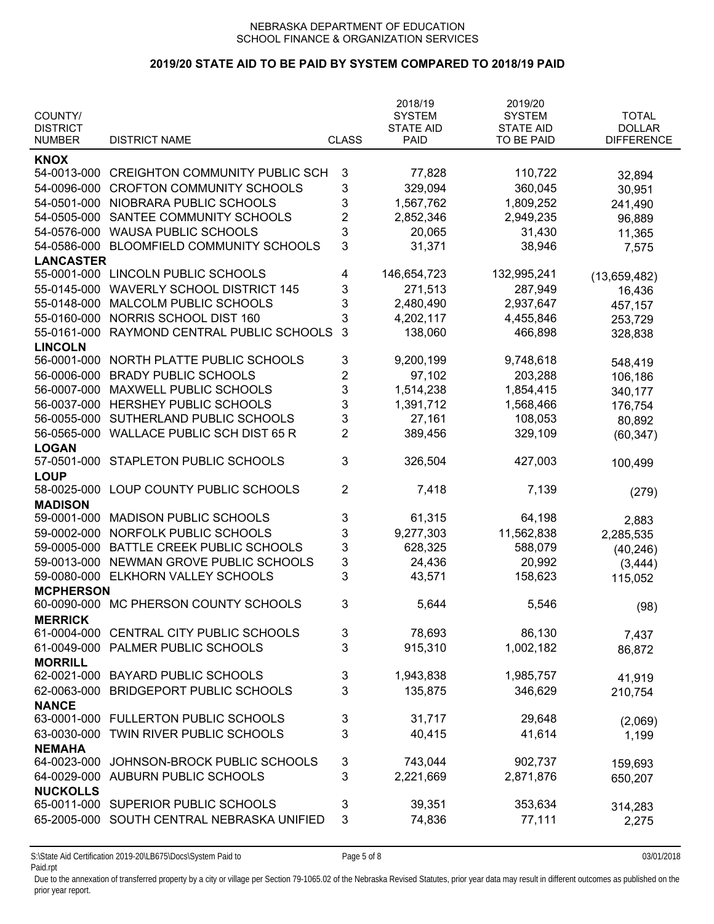# **2019/20 STATE AID TO BE PAID BY SYSTEM COMPARED TO 2018/19 PAID**

| COUNTY/                          |                                                                    |                | 2018/19<br><b>SYSTEM</b>        | 2019/20<br><b>SYSTEM</b>       | <b>TOTAL</b>                       |
|----------------------------------|--------------------------------------------------------------------|----------------|---------------------------------|--------------------------------|------------------------------------|
| <b>DISTRICT</b><br><b>NUMBER</b> | <b>DISTRICT NAME</b>                                               | <b>CLASS</b>   | <b>STATE AID</b><br><b>PAID</b> | <b>STATE AID</b><br>TO BE PAID | <b>DOLLAR</b><br><b>DIFFERENCE</b> |
| <b>KNOX</b>                      |                                                                    |                |                                 |                                |                                    |
| 54-0013-000                      | <b>CREIGHTON COMMUNITY PUBLIC SCH</b>                              | 3              | 77,828                          | 110,722                        |                                    |
| 54-0096-000                      | <b>CROFTON COMMUNITY SCHOOLS</b>                                   | 3              | 329,094                         | 360,045                        | 32,894                             |
| 54-0501-000                      | NIOBRARA PUBLIC SCHOOLS                                            | 3              | 1,567,762                       | 1,809,252                      | 30,951                             |
| 54-0505-000                      | SANTEE COMMUNITY SCHOOLS                                           | $\overline{2}$ |                                 |                                | 241,490                            |
|                                  |                                                                    |                | 2,852,346                       | 2,949,235                      | 96,889                             |
| 54-0576-000                      | <b>WAUSA PUBLIC SCHOOLS</b><br><b>BLOOMFIELD COMMUNITY SCHOOLS</b> | 3<br>3         | 20,065                          | 31,430                         | 11,365                             |
| 54-0586-000                      |                                                                    |                | 31,371                          | 38,946                         | 7,575                              |
| <b>LANCASTER</b><br>55-0001-000  | LINCOLN PUBLIC SCHOOLS                                             | 4              | 146,654,723                     | 132,995,241                    |                                    |
| 55-0145-000                      |                                                                    |                |                                 |                                | (13,659,482)                       |
|                                  | <b>WAVERLY SCHOOL DISTRICT 145</b>                                 | 3              | 271,513                         | 287,949                        | 16,436                             |
| 55-0148-000                      | MALCOLM PUBLIC SCHOOLS                                             | 3              | 2,480,490                       | 2,937,647                      | 457,157                            |
| 55-0160-000                      | NORRIS SCHOOL DIST 160                                             | 3              | 4,202,117                       | 4,455,846                      | 253,729                            |
| 55-0161-000                      | RAYMOND CENTRAL PUBLIC SCHOOLS                                     | 3              | 138,060                         | 466,898                        | 328,838                            |
| <b>LINCOLN</b>                   |                                                                    |                |                                 |                                |                                    |
| 56-0001-000                      | NORTH PLATTE PUBLIC SCHOOLS                                        | 3              | 9,200,199                       | 9,748,618                      | 548,419                            |
| 56-0006-000                      | <b>BRADY PUBLIC SCHOOLS</b>                                        | $\overline{2}$ | 97,102                          | 203,288                        | 106,186                            |
| 56-0007-000                      | MAXWELL PUBLIC SCHOOLS                                             | 3              | 1,514,238                       | 1,854,415                      | 340,177                            |
| 56-0037-000                      | HERSHEY PUBLIC SCHOOLS                                             | 3              | 1,391,712                       | 1,568,466                      | 176,754                            |
| 56-0055-000                      | SUTHERLAND PUBLIC SCHOOLS                                          | 3              | 27,161                          | 108,053                        | 80,892                             |
| 56-0565-000                      | <b>WALLACE PUBLIC SCH DIST 65 R</b>                                | $\overline{2}$ | 389,456                         | 329,109                        | (60, 347)                          |
| <b>LOGAN</b>                     |                                                                    |                |                                 |                                |                                    |
| 57-0501-000                      | STAPLETON PUBLIC SCHOOLS                                           | 3              | 326,504                         | 427,003                        | 100,499                            |
| <b>LOUP</b>                      |                                                                    |                |                                 |                                |                                    |
| 58-0025-000                      | LOUP COUNTY PUBLIC SCHOOLS                                         | 2              | 7,418                           | 7,139                          | (279)                              |
| <b>MADISON</b>                   |                                                                    |                |                                 |                                |                                    |
| 59-0001-000                      | <b>MADISON PUBLIC SCHOOLS</b>                                      | 3              | 61,315                          | 64,198                         | 2,883                              |
| 59-0002-000                      | NORFOLK PUBLIC SCHOOLS                                             | 3              | 9,277,303                       | 11,562,838                     | 2,285,535                          |
| 59-0005-000                      | BATTLE CREEK PUBLIC SCHOOLS                                        | 3              | 628,325                         | 588,079                        | (40, 246)                          |
| 59-0013-000                      | NEWMAN GROVE PUBLIC SCHOOLS                                        | 3              | 24,436                          | 20,992                         | (3, 444)                           |
| 59-0080-000                      | ELKHORN VALLEY SCHOOLS                                             | 3              | 43,571                          | 158,623                        | 115,052                            |
| <b>MCPHERSON</b>                 |                                                                    |                |                                 |                                |                                    |
|                                  | 60-0090-000 MC PHERSON COUNTY SCHOOLS                              | 3              | 5,644                           | 5,546                          | (98)                               |
| <b>MERRICK</b>                   |                                                                    |                |                                 |                                |                                    |
| 61-0004-000                      | CENTRAL CITY PUBLIC SCHOOLS                                        | 3              | 78,693                          | 86,130                         | 7,437                              |
| 61-0049-000                      | PALMER PUBLIC SCHOOLS                                              | 3              | 915,310                         | 1,002,182                      | 86,872                             |
| <b>MORRILL</b>                   |                                                                    |                |                                 |                                |                                    |
| 62-0021-000                      | <b>BAYARD PUBLIC SCHOOLS</b>                                       | 3              | 1,943,838                       | 1,985,757                      | 41,919                             |
| 62-0063-000                      | <b>BRIDGEPORT PUBLIC SCHOOLS</b>                                   | 3              | 135,875                         | 346,629                        | 210,754                            |
| <b>NANCE</b>                     |                                                                    |                |                                 |                                |                                    |
| 63-0001-000                      | <b>FULLERTON PUBLIC SCHOOLS</b>                                    | 3              | 31,717                          | 29,648                         | (2,069)                            |
| 63-0030-000                      | TWIN RIVER PUBLIC SCHOOLS                                          | 3              | 40,415                          | 41,614                         | 1,199                              |
| <b>NEMAHA</b>                    |                                                                    |                |                                 |                                |                                    |
| 64-0023-000                      | JOHNSON-BROCK PUBLIC SCHOOLS                                       | 3              | 743,044                         | 902,737                        | 159,693                            |
| 64-0029-000                      | AUBURN PUBLIC SCHOOLS                                              | 3              | 2,221,669                       | 2,871,876                      | 650,207                            |
| <b>NUCKOLLS</b>                  |                                                                    |                |                                 |                                |                                    |
| 65-0011-000                      | SUPERIOR PUBLIC SCHOOLS                                            | 3              | 39,351                          | 353,634                        | 314,283                            |
| 65-2005-000                      | SOUTH CENTRAL NEBRASKA UNIFIED                                     | 3              | 74,836                          | 77,111                         | 2,275                              |
|                                  |                                                                    |                |                                 |                                |                                    |

S:\State Aid Certification 2019-20\LB675\Docs\System Paid to Page 5 of 8 03/01/2018 Paid.rpt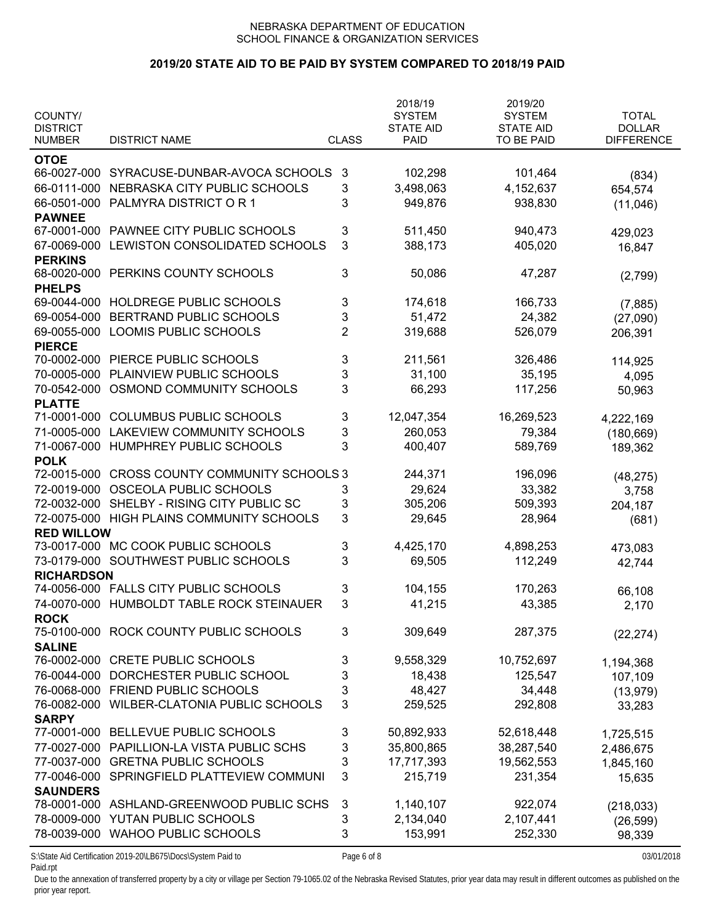### **2019/20 STATE AID TO BE PAID BY SYSTEM COMPARED TO 2018/19 PAID**

| COUNTY/<br><b>DISTRICT</b>   |                                                              |                | 2018/19<br><b>SYSTEM</b><br><b>STATE AID</b> | 2019/20<br><b>SYSTEM</b><br><b>STATE AID</b> | <b>TOTAL</b><br><b>DOLLAR</b> |
|------------------------------|--------------------------------------------------------------|----------------|----------------------------------------------|----------------------------------------------|-------------------------------|
| <b>NUMBER</b>                | <b>DISTRICT NAME</b>                                         | <b>CLASS</b>   | <b>PAID</b>                                  | <b>TO BE PAID</b>                            | <b>DIFFERENCE</b>             |
| <b>OTOE</b>                  |                                                              |                |                                              |                                              |                               |
| 66-0027-000                  | SYRACUSE-DUNBAR-AVOCA SCHOOLS                                | 3              | 102,298                                      | 101,464                                      | (834)                         |
| 66-0111-000                  | NEBRASKA CITY PUBLIC SCHOOLS                                 | 3              | 3,498,063                                    | 4,152,637                                    | 654,574                       |
| 66-0501-000                  | PALMYRA DISTRICT OR 1                                        | 3              | 949,876                                      | 938,830                                      | (11,046)                      |
| <b>PAWNEE</b>                |                                                              |                |                                              |                                              |                               |
| 67-0001-000                  | PAWNEE CITY PUBLIC SCHOOLS                                   | 3              | 511,450                                      | 940,473                                      | 429,023                       |
| 67-0069-000                  | LEWISTON CONSOLIDATED SCHOOLS                                | 3              | 388,173                                      | 405,020                                      | 16,847                        |
| <b>PERKINS</b>               |                                                              |                |                                              |                                              |                               |
| 68-0020-000                  | PERKINS COUNTY SCHOOLS                                       | 3              | 50,086                                       | 47,287                                       | (2,799)                       |
| <b>PHELPS</b>                | HOLDREGE PUBLIC SCHOOLS                                      |                |                                              |                                              |                               |
| 69-0044-000                  |                                                              | 3              | 174,618                                      | 166,733                                      | (7,885)                       |
| 69-0054-000                  | BERTRAND PUBLIC SCHOOLS                                      | 3              | 51,472                                       | 24,382                                       | (27,090)                      |
| 69-0055-000                  | LOOMIS PUBLIC SCHOOLS                                        | $\overline{2}$ | 319,688                                      | 526,079                                      | 206,391                       |
| <b>PIERCE</b><br>70-0002-000 | PIERCE PUBLIC SCHOOLS                                        |                |                                              |                                              |                               |
| 70-0005-000                  |                                                              | 3              | 211,561                                      | 326,486                                      | 114,925                       |
|                              | PLAINVIEW PUBLIC SCHOOLS                                     | 3<br>3         | 31,100                                       | 35,195                                       | 4,095                         |
| 70-0542-000<br><b>PLATTE</b> | OSMOND COMMUNITY SCHOOLS                                     |                | 66,293                                       | 117,256                                      | 50,963                        |
| 71-0001-000                  | <b>COLUMBUS PUBLIC SCHOOLS</b>                               | 3              | 12,047,354                                   | 16,269,523                                   |                               |
| 71-0005-000                  | <b>LAKEVIEW COMMUNITY SCHOOLS</b>                            | 3              | 260,053                                      | 79,384                                       | 4,222,169                     |
| 71-0067-000                  | HUMPHREY PUBLIC SCHOOLS                                      | 3              | 400,407                                      | 589,769                                      | (180, 669)                    |
| <b>POLK</b>                  |                                                              |                |                                              |                                              | 189,362                       |
| 72-0015-000                  | <b>CROSS COUNTY COMMUNITY SCHOOLS 3</b>                      |                | 244,371                                      | 196,096                                      |                               |
| 72-0019-000                  | OSCEOLA PUBLIC SCHOOLS                                       | 3              | 29,624                                       | 33,382                                       | (48, 275)<br>3,758            |
| 72-0032-000                  | SHELBY - RISING CITY PUBLIC SC                               | 3              | 305,206                                      | 509,393                                      | 204,187                       |
| 72-0075-000                  | HIGH PLAINS COMMUNITY SCHOOLS                                | 3              | 29,645                                       | 28,964                                       | (681)                         |
| <b>RED WILLOW</b>            |                                                              |                |                                              |                                              |                               |
| 73-0017-000                  | MC COOK PUBLIC SCHOOLS                                       | 3              | 4,425,170                                    | 4,898,253                                    | 473,083                       |
| 73-0179-000                  | SOUTHWEST PUBLIC SCHOOLS                                     | 3              | 69,505                                       | 112,249                                      | 42,744                        |
| <b>RICHARDSON</b>            |                                                              |                |                                              |                                              |                               |
|                              | 74-0056-000 FALLS CITY PUBLIC SCHOOLS                        | 3              | 104,155                                      | 170,263                                      | 66,108                        |
| 74-0070-000                  | HUMBOLDT TABLE ROCK STEINAUER                                | 3              | 41,215                                       | 43,385                                       | 2,170                         |
| <b>ROCK</b>                  |                                                              |                |                                              |                                              |                               |
| 75-0100-000                  | ROCK COUNTY PUBLIC SCHOOLS                                   | 3              | 309,649                                      | 287,375                                      | (22, 274)                     |
| <b>SALINE</b>                |                                                              |                |                                              |                                              |                               |
| 76-0002-000                  | <b>CRETE PUBLIC SCHOOLS</b>                                  | 3              | 9,558,329                                    | 10,752,697                                   | 1,194,368                     |
| 76-0044-000                  | DORCHESTER PUBLIC SCHOOL                                     | 3              | 18,438                                       | 125,547                                      | 107,109                       |
| 76-0068-000                  | FRIEND PUBLIC SCHOOLS                                        | 3              | 48,427                                       | 34,448                                       | (13, 979)                     |
| 76-0082-000                  | WILBER-CLATONIA PUBLIC SCHOOLS                               | 3              | 259,525                                      | 292,808                                      | 33,283                        |
| <b>SARPY</b>                 |                                                              |                |                                              |                                              |                               |
| 77-0001-000                  | BELLEVUE PUBLIC SCHOOLS                                      | 3              | 50,892,933                                   | 52,618,448                                   | 1,725,515                     |
| 77-0027-000                  | PAPILLION-LA VISTA PUBLIC SCHS                               | 3              | 35,800,865                                   | 38,287,540                                   | 2,486,675                     |
| 77-0037-000                  | <b>GRETNA PUBLIC SCHOOLS</b>                                 | 3              | 17,717,393                                   | 19,562,553                                   | 1,845,160                     |
| 77-0046-000                  | SPRINGFIELD PLATTEVIEW COMMUNI                               | 3              | 215,719                                      | 231,354                                      | 15,635                        |
| <b>SAUNDERS</b>              |                                                              |                |                                              |                                              |                               |
|                              | 78-0001-000 ASHLAND-GREENWOOD PUBLIC SCHS                    | 3              | 1,140,107                                    | 922,074                                      | (218, 033)                    |
| 78-0009-000                  | YUTAN PUBLIC SCHOOLS                                         | 3              | 2,134,040                                    | 2,107,441                                    | (26, 599)                     |
| 78-0039-000                  | <b>WAHOO PUBLIC SCHOOLS</b>                                  | 3              | 153,991                                      | 252,330                                      | 98,339                        |
|                              | S:\State Aid Certification 2019-20\LB675\Docs\System Paid to | Page 6 of 8    |                                              |                                              | 03/01/2018                    |

Paid.rpt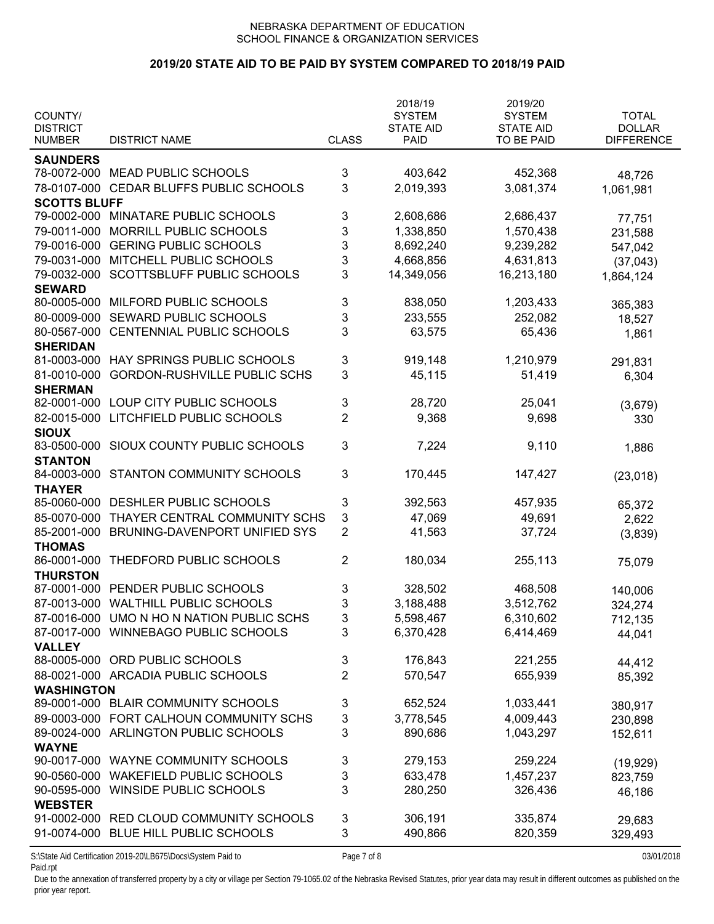# **2019/20 STATE AID TO BE PAID BY SYSTEM COMPARED TO 2018/19 PAID**

| COUNTY/<br><b>DISTRICT</b> |                                           |                           | 2018/19<br><b>SYSTEM</b><br><b>STATE AID</b> | 2019/20<br><b>SYSTEM</b><br><b>STATE AID</b> | <b>TOTAL</b><br><b>DOLLAR</b> |
|----------------------------|-------------------------------------------|---------------------------|----------------------------------------------|----------------------------------------------|-------------------------------|
| <b>NUMBER</b>              | <b>DISTRICT NAME</b>                      | <b>CLASS</b>              | <b>PAID</b>                                  | TO BE PAID                                   | <b>DIFFERENCE</b>             |
| <b>SAUNDERS</b>            |                                           |                           |                                              |                                              |                               |
| 78-0072-000                | <b>MEAD PUBLIC SCHOOLS</b>                | 3                         | 403,642                                      | 452,368                                      | 48,726                        |
| 78-0107-000                | CEDAR BLUFFS PUBLIC SCHOOLS               | 3                         | 2,019,393                                    | 3,081,374                                    | 1,061,981                     |
| <b>SCOTTS BLUFF</b>        |                                           |                           |                                              |                                              |                               |
|                            | 79-0002-000 MINATARE PUBLIC SCHOOLS       | 3                         | 2,608,686                                    | 2,686,437                                    | 77,751                        |
| 79-0011-000                | MORRILL PUBLIC SCHOOLS                    | 3                         | 1,338,850                                    | 1,570,438                                    | 231,588                       |
| 79-0016-000                | <b>GERING PUBLIC SCHOOLS</b>              | 3                         | 8,692,240                                    | 9,239,282                                    | 547,042                       |
| 79-0031-000                | MITCHELL PUBLIC SCHOOLS                   | 3                         | 4,668,856                                    | 4,631,813                                    | (37, 043)                     |
| 79-0032-000                | SCOTTSBLUFF PUBLIC SCHOOLS                | 3                         | 14,349,056                                   | 16,213,180                                   | 1,864,124                     |
| <b>SEWARD</b>              |                                           |                           |                                              |                                              |                               |
| 80-0005-000                | MILFORD PUBLIC SCHOOLS                    | 3                         | 838,050                                      | 1,203,433                                    | 365,383                       |
| 80-0009-000                | SEWARD PUBLIC SCHOOLS                     | 3                         | 233,555                                      | 252,082                                      | 18,527                        |
| 80-0567-000                | CENTENNIAL PUBLIC SCHOOLS                 | 3                         | 63,575                                       | 65,436                                       | 1,861                         |
| <b>SHERIDAN</b>            |                                           |                           |                                              |                                              |                               |
| 81-0003-000                | HAY SPRINGS PUBLIC SCHOOLS                | 3                         | 919,148                                      | 1,210,979                                    | 291,831                       |
| 81-0010-000                | <b>GORDON-RUSHVILLE PUBLIC SCHS</b>       | 3                         | 45,115                                       | 51,419                                       | 6,304                         |
| <b>SHERMAN</b>             |                                           |                           |                                              |                                              |                               |
| 82-0001-000                | LOUP CITY PUBLIC SCHOOLS                  | 3                         | 28,720                                       | 25,041                                       | (3,679)                       |
| 82-0015-000                | LITCHFIELD PUBLIC SCHOOLS                 | $\overline{2}$            | 9,368                                        | 9,698                                        | 330                           |
| <b>SIOUX</b>               |                                           |                           |                                              |                                              |                               |
| 83-0500-000                | SIOUX COUNTY PUBLIC SCHOOLS               | 3                         | 7,224                                        | 9,110                                        | 1,886                         |
| <b>STANTON</b>             |                                           |                           |                                              |                                              |                               |
| 84-0003-000                | STANTON COMMUNITY SCHOOLS                 | 3                         | 170,445                                      | 147,427                                      | (23,018)                      |
| <b>THAYER</b>              |                                           |                           |                                              |                                              |                               |
| 85-0060-000                | DESHLER PUBLIC SCHOOLS                    | 3                         | 392,563                                      | 457,935                                      | 65,372                        |
| 85-0070-000                | THAYER CENTRAL COMMUNITY SCHS             | 3                         | 47,069                                       | 49,691                                       | 2,622                         |
| 85-2001-000                | BRUNING-DAVENPORT UNIFIED SYS             | $\overline{2}$            | 41,563                                       | 37,724                                       | (3,839)                       |
| <b>THOMAS</b>              |                                           |                           |                                              |                                              |                               |
| 86-0001-000                | THEDFORD PUBLIC SCHOOLS                   | $\overline{c}$            | 180,034                                      | 255,113                                      | 75,079                        |
| <b>THURSTON</b>            |                                           |                           |                                              |                                              |                               |
| 87-0001-000                | PENDER PUBLIC SCHOOLS                     | 3                         | 328,502                                      | 468,508                                      | 140,006                       |
| 87-0013-000                | <b>WALTHILL PUBLIC SCHOOLS</b>            | 3                         | 3,188,488                                    | 3,512,762                                    | 324,274                       |
|                            | 87-0016-000 UMO N HO N NATION PUBLIC SCHS | $\ensuremath{\mathsf{3}}$ | 5,598,467                                    | 6,310,602                                    | 712,135                       |
|                            | 87-0017-000 WINNEBAGO PUBLIC SCHOOLS      | 3                         | 6,370,428                                    | 6,414,469                                    | 44,041                        |
| <b>VALLEY</b>              |                                           |                           |                                              |                                              |                               |
| 88-0005-000                | ORD PUBLIC SCHOOLS                        | 3                         | 176,843                                      | 221,255                                      | 44,412                        |
|                            | 88-0021-000 ARCADIA PUBLIC SCHOOLS        | $\overline{2}$            | 570,547                                      | 655,939                                      | 85,392                        |
| <b>WASHINGTON</b>          |                                           |                           |                                              |                                              |                               |
| 89-0001-000                | <b>BLAIR COMMUNITY SCHOOLS</b>            | 3                         | 652,524                                      | 1,033,441                                    | 380,917                       |
| 89-0003-000                | FORT CALHOUN COMMUNITY SCHS               | 3                         | 3,778,545                                    | 4,009,443                                    | 230,898                       |
| 89-0024-000                | ARLINGTON PUBLIC SCHOOLS                  | 3                         | 890,686                                      | 1,043,297                                    | 152,611                       |
| <b>WAYNE</b>               |                                           |                           |                                              |                                              |                               |
| 90-0017-000                | WAYNE COMMUNITY SCHOOLS                   | 3                         | 279,153                                      | 259,224                                      | (19, 929)                     |
| 90-0560-000                | <b>WAKEFIELD PUBLIC SCHOOLS</b>           | 3                         | 633,478                                      | 1,457,237                                    | 823,759                       |
| 90-0595-000                | WINSIDE PUBLIC SCHOOLS                    | 3                         | 280,250                                      | 326,436                                      | 46,186                        |
| <b>WEBSTER</b>             |                                           |                           |                                              |                                              |                               |
| 91-0002-000                | RED CLOUD COMMUNITY SCHOOLS               | 3                         | 306,191                                      | 335,874                                      |                               |
| 91-0074-000                | BLUE HILL PUBLIC SCHOOLS                  | 3                         | 490,866                                      | 820,359                                      | 29,683                        |
|                            |                                           |                           |                                              |                                              | 329,493                       |

S:\State Aid Certification 2019-20\LB675\Docs\System Paid to Page 7 of 8 03/01/2018 Paid.rpt